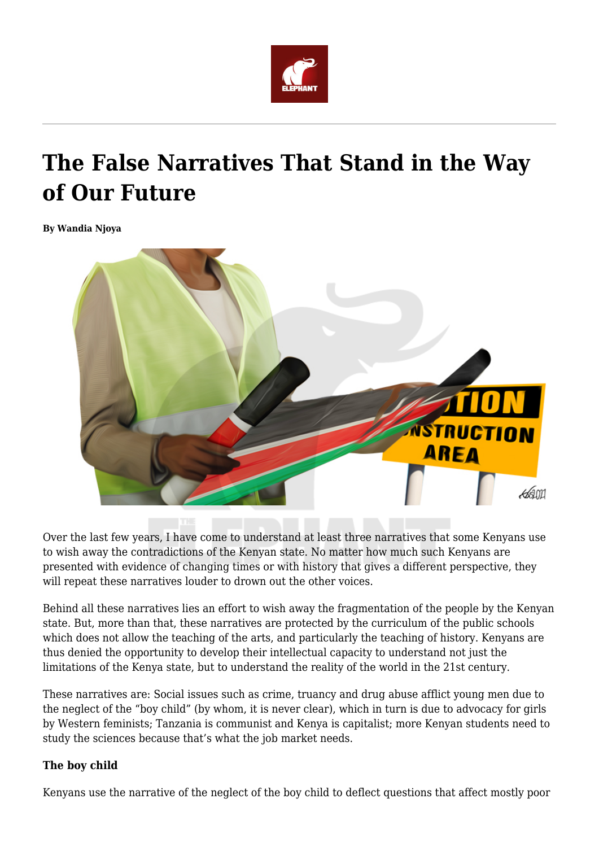

# **The False Narratives That Stand in the Way of Our Future**

**By Wandia Njoya**



Over the last few years, I have come to understand at least three narratives that some Kenyans use to wish away the contradictions of the Kenyan state. No matter how much such Kenyans are presented with evidence of changing times or with history that gives a different perspective, they will repeat these narratives louder to drown out the other voices.

Behind all these narratives lies an effort to wish away the fragmentation of the people by the Kenyan state. But, more than that, these narratives are protected by the curriculum of the public schools which does not allow the teaching of the arts, and particularly the teaching of history. Kenyans are thus denied the opportunity to develop their intellectual capacity to understand not just the limitations of the Kenya state, but to understand the reality of the world in the 21st century.

These narratives are: Social issues such as crime, truancy and drug abuse afflict young men due to the neglect of the "boy child" (by whom, it is never clear), which in turn is due to advocacy for girls by Western feminists; Tanzania is communist and Kenya is capitalist; more Kenyan students need to study the sciences because that's what the job market needs.

## **The boy child**

Kenyans use the narrative of the neglect of the boy child to deflect questions that affect mostly poor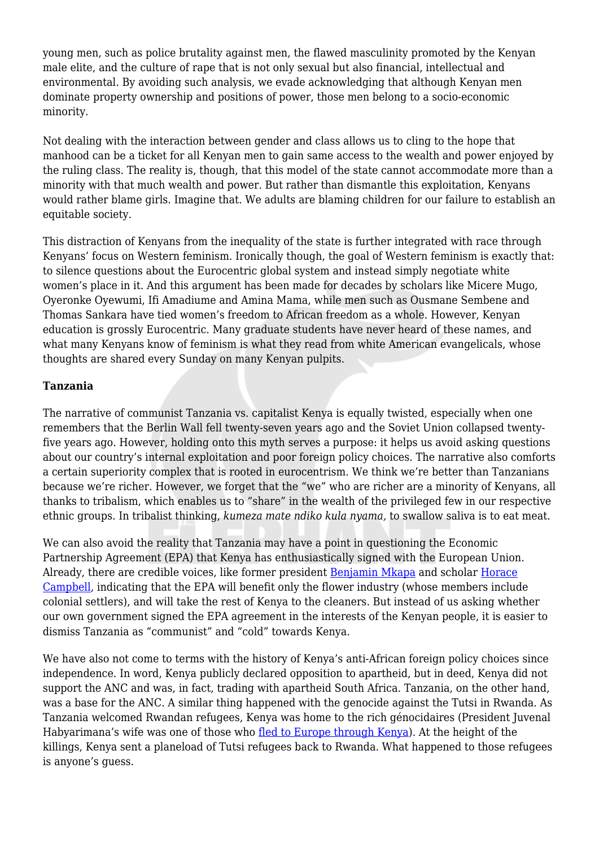young men, such as police brutality against men, the flawed masculinity promoted by the Kenyan male elite, and the culture of rape that is not only sexual but also financial, intellectual and environmental. By avoiding such analysis, we evade acknowledging that although Kenyan men dominate property ownership and positions of power, those men belong to a socio-economic minority.

Not dealing with the interaction between gender and class allows us to cling to the hope that manhood can be a ticket for all Kenyan men to gain same access to the wealth and power enjoyed by the ruling class. The reality is, though, that this model of the state cannot accommodate more than a minority with that much wealth and power. But rather than dismantle this exploitation, Kenyans would rather blame girls. Imagine that. We adults are blaming children for our failure to establish an equitable society.

This distraction of Kenyans from the inequality of the state is further integrated with race through Kenyans' focus on Western feminism. Ironically though, the goal of Western feminism is exactly that: to silence questions about the Eurocentric global system and instead simply negotiate white women's place in it. And this argument has been made for decades by scholars like Micere Mugo, Oyeronke Oyewumi, Ifi Amadiume and Amina Mama, while men such as Ousmane Sembene and Thomas Sankara have tied women's freedom to African freedom as a whole. However, Kenyan education is grossly Eurocentric. Many graduate students have never heard of these names, and what many Kenyans know of feminism is what they read from white American evangelicals, whose thoughts are shared every Sunday on many Kenyan pulpits.

# **Tanzania**

The narrative of communist Tanzania vs. capitalist Kenya is equally twisted, especially when one remembers that the Berlin Wall fell twenty-seven years ago and the Soviet Union collapsed twentyfive years ago. However, holding onto this myth serves a purpose: it helps us avoid asking questions about our country's internal exploitation and poor foreign policy choices. The narrative also comforts a certain superiority complex that is rooted in eurocentrism. We think we're better than Tanzanians because we're richer. However, we forget that the "we" who are richer are a minority of Kenyans, all thanks to tribalism, which enables us to "share" in the wealth of the privileged few in our respective ethnic groups. In tribalist thinking, *kumeza mate ndiko kula nyama,* to swallow saliva is to eat meat.

We can also avoid the reality that Tanzania may have a point in questioning the Economic Partnership Agreement (EPA) that Kenya has enthusiastically signed with the European Union. Already, there are credible voices, like former president [Benjamin Mkapa](http://www.theeastafrican.co.ke/OpEd/comment/434750-3323648-uirx9iz/index.html) and scholar [Horace](http://www.pambazuka.org/global-south/why-east-africa-should-reject-epa-deal-europe) [Campbell](http://www.pambazuka.org/global-south/why-east-africa-should-reject-epa-deal-europe), indicating that the EPA will benefit only the flower industry (whose members include colonial settlers), and will take the rest of Kenya to the cleaners. But instead of us asking whether our own government signed the EPA agreement in the interests of the Kenyan people, it is easier to dismiss Tanzania as "communist" and "cold" towards Kenya.

We have also not come to terms with the history of Kenya's anti-African foreign policy choices since independence. In word, Kenya publicly declared opposition to apartheid, but in deed, Kenya did not support the ANC and was, in fact, trading with apartheid South Africa. Tanzania, on the other hand, was a base for the ANC. A similar thing happened with the genocide against the Tutsi in Rwanda. As Tanzania welcomed Rwandan refugees, Kenya was home to the rich génocidaires (President Juvenal Habyarimana's wife was one of those who [fled to Europe through Kenya](https://www.theguardian.com/world/2010/mar/02/widow-assassinated-rwandan-president-arrrested)). At the height of the killings, Kenya sent a planeload of Tutsi refugees back to Rwanda. What happened to those refugees is anyone's guess.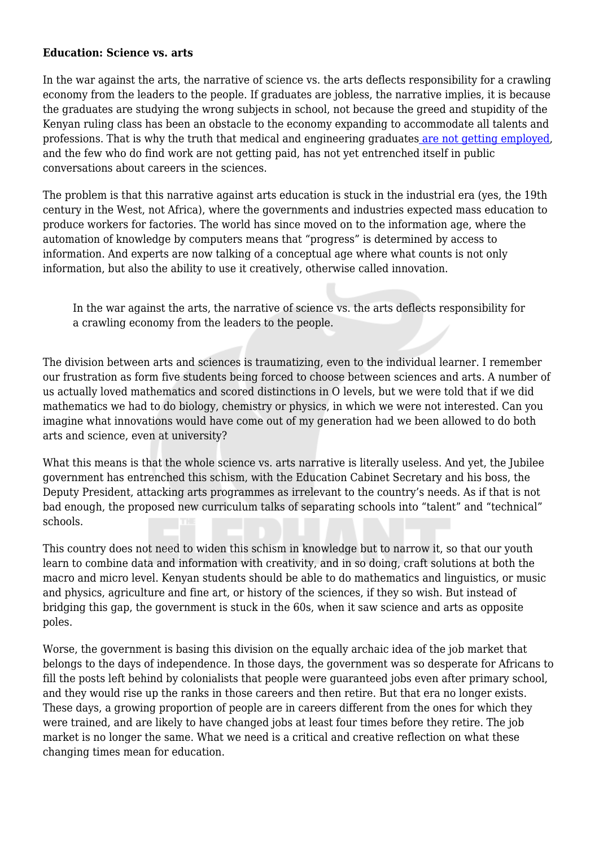#### **Education: Science vs. arts**

In the war against the arts, the narrative of science vs. the arts deflects responsibility for a crawling economy from the leaders to the people. If graduates are jobless, the narrative implies, it is because the graduates are studying the wrong subjects in school, not because the greed and stupidity of the Kenyan ruling class has been an obstacle to the economy expanding to accommodate all talents and professions. That is why the truth that medical and engineering graduates [are not getting employed](http://www.the-star.co.ke/news/2016/07/30/embu-doctors-strike-due-to-shortage-of-medics_c1394426?platform=hootsuite), and the few who do find work are not getting paid, has not yet entrenched itself in public conversations about careers in the sciences.

The problem is that this narrative against arts education is stuck in the industrial era (yes, the 19th century in the West, not Africa), where the governments and industries expected mass education to produce workers for factories. The world has since moved on to the information age, where the automation of knowledge by computers means that "progress" is determined by access to information. And experts are now talking of a conceptual age where what counts is not only information, but also the ability to use it creatively, otherwise called innovation.

In the war against the arts, the narrative of science vs. the arts deflects responsibility for a crawling economy from the leaders to the people.

The division between arts and sciences is traumatizing, even to the individual learner. I remember our frustration as form five students being forced to choose between sciences and arts. A number of us actually loved mathematics and scored distinctions in O levels, but we were told that if we did mathematics we had to do biology, chemistry or physics, in which we were not interested. Can you imagine what innovations would have come out of my generation had we been allowed to do both arts and science, even at university?

What this means is that the whole science vs. arts narrative is literally useless. And yet, the Jubilee government has entrenched this schism, with the Education Cabinet Secretary and his boss, the Deputy President, attacking arts programmes as irrelevant to the country's needs. As if that is not bad enough, the proposed new curriculum talks of separating schools into "talent" and "technical" schools.

This country does not need to widen this schism in knowledge but to narrow it, so that our youth learn to combine data and information with creativity, and in so doing, craft solutions at both the macro and micro level. Kenyan students should be able to do mathematics and linguistics, or music and physics, agriculture and fine art, or history of the sciences, if they so wish. But instead of bridging this gap, the government is stuck in the 60s, when it saw science and arts as opposite poles.

Worse, the government is basing this division on the equally archaic idea of the job market that belongs to the days of independence. In those days, the government was so desperate for Africans to fill the posts left behind by colonialists that people were guaranteed jobs even after primary school, and they would rise up the ranks in those careers and then retire. But that era no longer exists. These days, a growing proportion of people are in careers different from the ones for which they were trained, and are likely to have changed jobs at least four times before they retire. The job market is no longer the same. What we need is a critical and creative reflection on what these changing times mean for education.